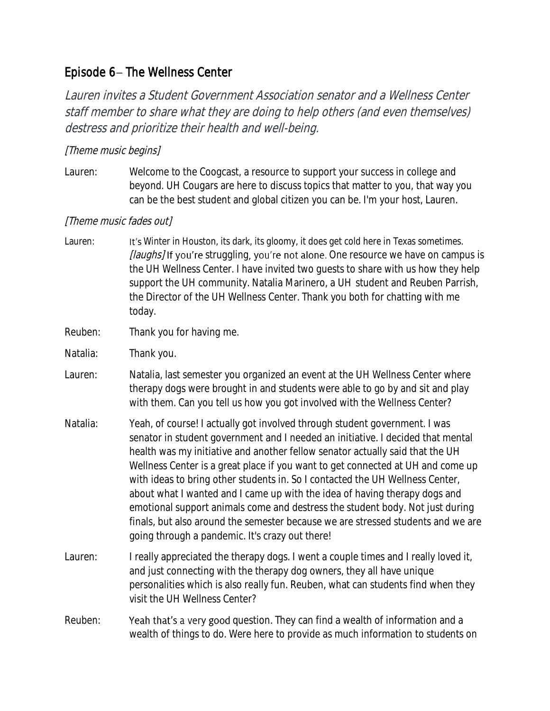## Episode 6- The Wellness Center

Lauren invites a Student Government Association senator and a Wellness Center staff member to share what they are doing to help others (and even themselves) destress and prioritize their health and well-being.

## [Theme music begins]

Lauren: Welcome to the Coogcast, a resource to support your success in college and beyond. UH Cougars are here to discuss topics that matter to you, that way you can be the best student and global citizen you can be. I'm your host, Lauren.

## [Theme music fades out]

- Lauren: It's Winter in Houston, its dark, its gloomy, it does get cold here in Texas sometimes. *[laughs]* If you're struggling, you're not alone. One resource we have on campus is the UH Wellness Center. I have invited two guests to share with us how they help support the UH community. Natalia Marinero, a UH student and Reuben Parrish, the Director of the UH Wellness Center. Thank you both for chatting with me today.
- Reuben: Thank you for having me.
- Natalia: Thank you.
- Lauren: Natalia, last semester you organized an event at the UH Wellness Center where therapy dogs were brought in and students were able to go by and sit and play with them. Can you tell us how you got involved with the Wellness Center?
- Natalia: Yeah, of course! I actually got involved through student government. I was senator in student government and I needed an initiative. I decided that mental health was my initiative and another fellow senator actually said that the UH Wellness Center is a great place if you want to get connected at UH and come up with ideas to bring other students in. So I contacted the UH Wellness Center, about what I wanted and I came up with the idea of having therapy dogs and emotional support animals come and destress the student body. Not just during finals, but also around the semester because we are stressed students and we are going through a pandemic. It's crazy out there!
- Lauren: I really appreciated the therapy dogs. I went a couple times and I really loved it, and just connecting with the therapy dog owners, they all have unique personalities which is also really fun. Reuben, what can students find when they visit the UH Wellness Center?
- Reuben: Yeah that's a very good question. They can find a wealth of information and a wealth of things to do. Were here to provide as much information to students on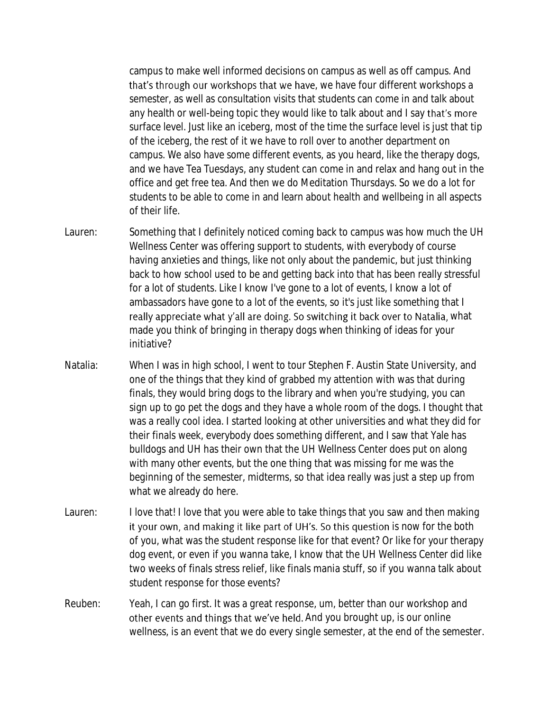campus to make well informed decisions on campus as well as off campus. And that's through our workshops that we have, we have four different workshops a semester, as well as consultation visits that students can come in and talk about any health or well-being topic they would like to talk about and I say that's more surface level. Just like an iceberg, most of the time the surface level is just that tip of the iceberg, the rest of it we have to roll over to another department on campus. We also have some different events, as you heard, like the therapy dogs, and we have Tea Tuesdays, any student can come in and relax and hang out in the office and get free tea. And then we do Meditation Thursdays. So we do a lot for students to be able to come in and learn about health and wellbeing in all aspects of their life.

- Lauren: Something that I definitely noticed coming back to campus was how much the UH Wellness Center was offering support to students, with everybody of course having anxieties and things, like not only about the pandemic, but just thinking back to how school used to be and getting back into that has been really stressful for a lot of students. Like I know I've gone to a lot of events, I know a lot of ambassadors have gone to a lot of the events, so it's just like something that I really appreciate what y'all are doing. So switching it back over to Natalia, what made you think of bringing in therapy dogs when thinking of ideas for your initiative?
- Natalia: When I was in high school, I went to tour Stephen F. Austin State University, and one of the things that they kind of grabbed my attention with was that during finals, they would bring dogs to the library and when you're studying, you can sign up to go pet the dogs and they have a whole room of the dogs. I thought that was a really cool idea. I started looking at other universities and what they did for their finals week, everybody does something different, and I saw that Yale has bulldogs and UH has their own that the UH Wellness Center does put on along with many other events, but the one thing that was missing for me was the beginning of the semester, midterms, so that idea really was just a step up from what we already do here.
- Lauren: I love that! I love that you were able to take things that you saw and then making it your own, and making it like part of UH's. So this question is now for the both of you, what was the student response like for that event? Or like for your therapy dog event, or even if you wanna take, I know that the UH Wellness Center did like two weeks of finals stress relief, like finals mania stuff, so if you wanna talk about student response for those events?
- Reuben: Yeah, I can go first. It was a great response, um, better than our workshop and other events and things that we've held. And you brought up, is our online wellness, is an event that we do every single semester, at the end of the semester.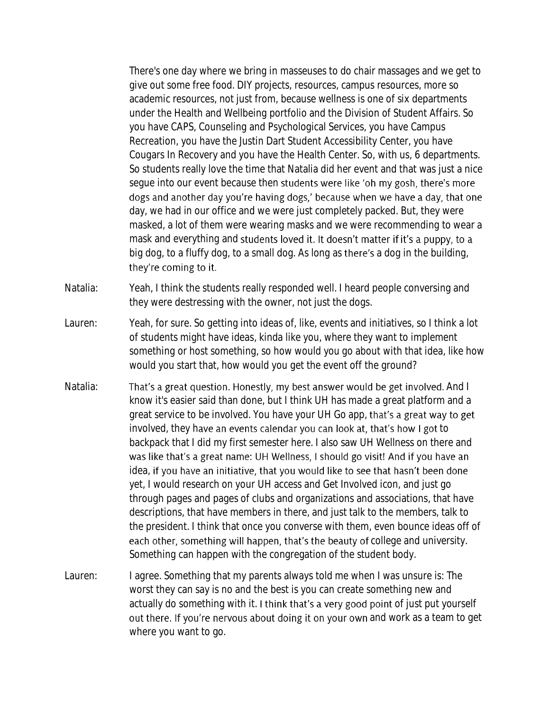There's one day where we bring in masseuses to do chair massages and we get to give out some free food. DIY projects, resources, campus resources, more so academic resources, not just from, because wellness is one of six departments under the Health and Wellbeing portfolio and the Division of Student Affairs. So you have CAPS, Counseling and Psychological Services, you have Campus Recreation, you have the Justin Dart Student Accessibility Center, you have Cougars In Recovery and you have the Health Center. So, with us, 6 departments. So students really love the time that Natalia did her event and that was just a nice segue into our event because then students were like 'oh my gosh, there's more dogs and another day you're having dogs,' because when we have a day, that one day, we had in our office and we were just completely packed. But, they were masked, a lot of them were wearing masks and we were recommending to wear a mask and everything and students loved it. It doesn't matter if it's a puppy, to a big dog, to a fluffy dog, to a small dog. As long as there's a dog in the building, they're coming to it.

Natalia: Yeah, I think the students really responded well. I heard people conversing and they were destressing with the owner, not just the dogs.

- Lauren: Yeah, for sure. So getting into ideas of, like, events and initiatives, so I think a lot of students might have ideas, kinda like you, where they want to implement something or host something, so how would you go about with that idea, like how would you start that, how would you get the event off the ground?
- Natalia: That's a great question. Honestly, my best answer would be get involved. And I know it's easier said than done, but I think UH has made a great platform and a great service to be involved. You have your UH Go app, that's a great way to get involved, they have an events calendar you can look at, that's how I got to backpack that I did my first semester here. I also saw UH Wellness on there and was like that's a great name: UH Wellness, I should go visit! And if you have an idea, if you have an initiative, that you would like to see that hasn't been done yet, I would research on your UH access and Get Involved icon, and just go through pages and pages of clubs and organizations and associations, that have descriptions, that have members in there, and just talk to the members, talk to the president. I think that once you converse with them, even bounce ideas off of each other, something will happen, that's the beauty of college and university. Something can happen with the congregation of the student body.
- Lauren: I agree. Something that my parents always told me when I was unsure is: The worst they can say is no and the best is you can create something new and actually do something with it. I think that's a very good point of just put yourself out there. If you're nervous about doing it on your own and work as a team to get where you want to go.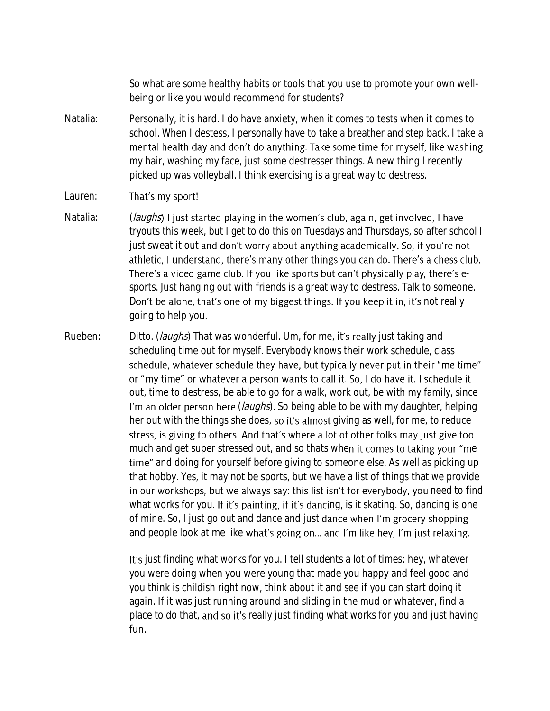So what are some healthy habits or tools that you use to promote your own wellbeing or like you would recommend for students?

Natalia: Personally, it is hard. I do have anxiety, when it comes to tests when it comes to school. When I destess, I personally have to take a breather and step back. I take a mental health day and don't do anything. Take some time for myself, like washing my hair, washing my face, just some destresser things. A new thing I recently picked up was volleyball. I think exercising is a great way to destress.

## Lauren: That's my sport!

- Natalia: (*laughs*) I just started playing in the women's club, again, get involved, I have tryouts this week, but I get to do this on Tuesdays and Thursdays, so after school I just sweat it out and don't worry about anything academically. So, if you're not athletic, I understand, there's many other things you can do. There's a chess club. There's a video game club. If you like sports but can't physically play, there's esports. Just hanging out with friends is a great way to destress. Talk to someone. Don't be alone, that's one of my biggest things. If you keep it in, it's not really going to help you.
- Rueben: Ditto. (*laughs*) That was wonderful. Um, for me, it's really just taking and scheduling time out for myself. Everybody knows their work schedule, class schedule, whatever schedule they have, but typically never put in their "me time" or "my time" or whatever a person wants to call it. So, I do have it. I schedule it out, time to destress, be able to go for a walk, work out, be with my family, since I'm an older person here (*laughs*). So being able to be with my daughter, helping her out with the things she does, so it's almost giving as well, for me, to reduce stress, is giving to others. And that's where a lot of other folks may just give too much and get super stressed out, and so thats when it comes to taking your "me time" and doing for yourself before giving to someone else. As well as picking up that hobby. Yes, it may not be sports, but we have a list of things that we provide in our workshops, but we always say: this list isn't for everybody, you need to find what works for you. If it's painting, if it's dancing, is it skating. So, dancing is one of mine. So, I just go out and dance and just dance when I'm grocery shopping and people look at me like what's going on... and I'm like hey, I'm just relaxing.

It's just finding what works for you. I tell students a lot of times: hey, whatever you were doing when you were young that made you happy and feel good and you think is childish right now, think about it and see if you can start doing it again. If it was just running around and sliding in the mud or whatever, find a place to do that, and so it's really just finding what works for you and just having fun.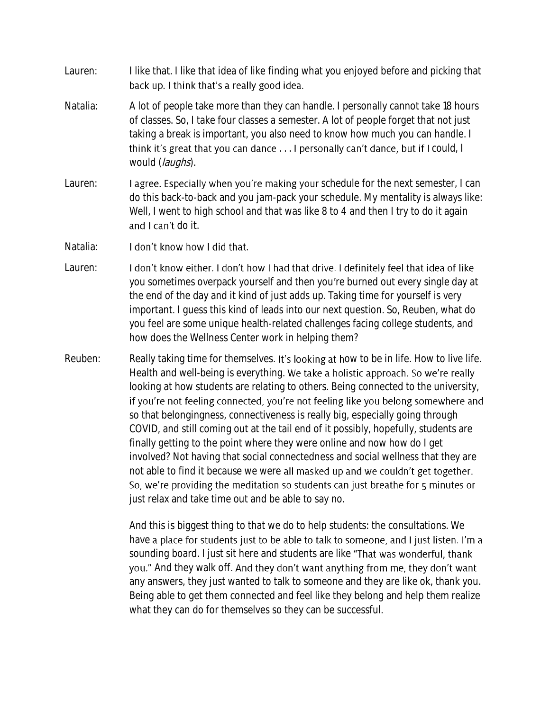- Lauren: I like that. I like that idea of like finding what you enjoyed before and picking that back up. I think that's a really good idea.
- Natalia: A lot of people take more than they can handle. I personally cannot take 18 hours of classes. So, I take four classes a semester. A lot of people forget that not just taking a break is important, you also need to know how much you can handle. I think it's great that you can dance  $\ldots$  I personally can't dance, but if I could, I would (laughs).
- Lauren: **I agree. Especially when you're making your** schedule for the next semester, I can do this back-to-back and you jam-pack your schedule. My mentality is always like: Well, I went to high school and that was like 8 to 4 and then I try to do it again and I can't do it.
- Natalia: I don't know how I did that.
- Lauren: I don't know either. I don't how I had that drive. I definitely feel that idea of like you sometimes overpack yourself and then you re burned out every single day at the end of the day and it kind of just adds up. Taking time for yourself is very important. I guess this kind of leads into our next question. So, Reuben, what do you feel are some unique health-related challenges facing college students, and how does the Wellness Center work in helping them?
- Reuben: Really taking time for themselves. It's looking at how to be in life. How to live life. Health and well-being is everything. We take a holistic approach. So we're really looking at how students are relating to others. Being connected to the university, if you're not feeling connected, you're not feeling like you belong somewhere and so that belongingness, connectiveness is really big, especially going through COVID, and still coming out at the tail end of it possibly, hopefully, students are finally getting to the point where they were online and now how do I get involved? Not having that social connectedness and social wellness that they are not able to find it because we were all masked up and we couldn't get together. So, we're providing the meditation so students can just breathe for 5 minutes or just relax and take time out and be able to say no.

And this is biggest thing to that we do to help students: the consultations. We have a place for students just to be able to talk to someone, and I just listen. I'm a sounding board. I just sit here and students are like "That was wonderful, thank you." And they walk off. And they don't want anything from me, they don't want any answers, they just wanted to talk to someone and they are like ok, thank you. Being able to get them connected and feel like they belong and help them realize what they can do for themselves so they can be successful.